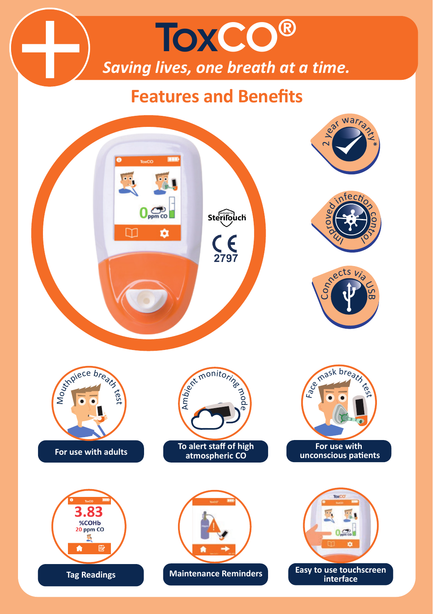## ToxCO® *Saving lives, one breath at a time.*

## **Features and Benefits**